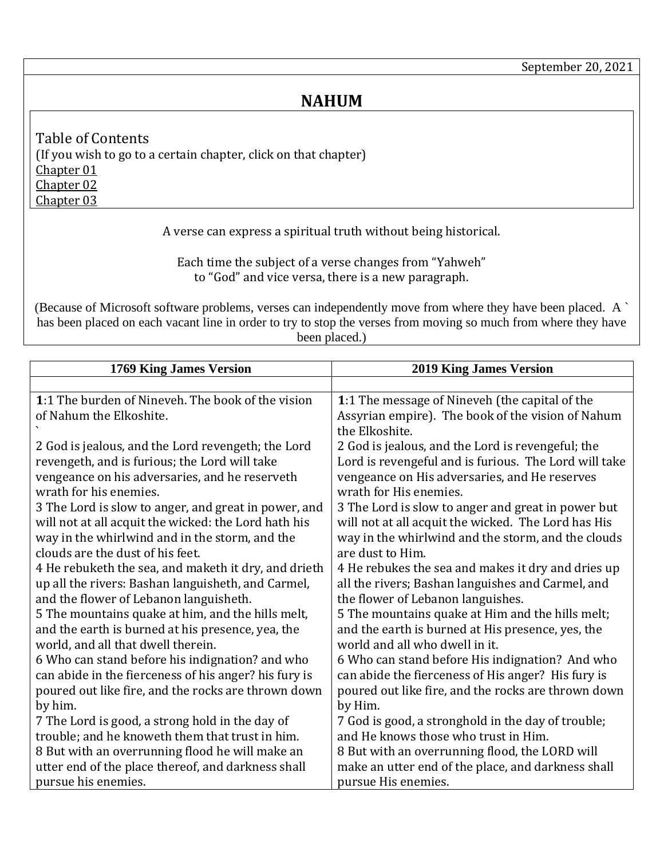## **NAHUM**

<span id="page-0-3"></span><span id="page-0-2"></span><span id="page-0-1"></span>Table of Contents (If you wish to go to a certain chapter, click on that chapter) [Chapter 01](#page-0-0) [Chapter 02](#page-1-0) [Chapter 03](#page-2-0)

A verse can express a spiritual truth without being historical.

Each time the subject of a verse changes from "Yahweh" to "God" and vice versa, there is a new paragraph.

(Because of Microsoft software problems, verses can independently move from where they have been placed. A ` has been placed on each vacant line in order to try to stop the verses from moving so much from where they have been placed.)

<span id="page-0-0"></span>

| 1769 King James Version                                                                            | <b>2019 King James Version</b>                                                             |
|----------------------------------------------------------------------------------------------------|--------------------------------------------------------------------------------------------|
|                                                                                                    |                                                                                            |
| 1:1 The burden of Nineveh. The book of the vision<br>of Nahum the Elkoshite.                       | 1:1 The message of Nineveh (the capital of the                                             |
|                                                                                                    | Assyrian empire). The book of the vision of Nahum<br>the Elkoshite.                        |
| 2 God is jealous, and the Lord revengeth; the Lord                                                 | 2 God is jealous, and the Lord is revengeful; the                                          |
| revengeth, and is furious; the Lord will take                                                      | Lord is revengeful and is furious. The Lord will take                                      |
| vengeance on his adversaries, and he reserveth<br>wrath for his enemies.                           | vengeance on His adversaries, and He reserves<br>wrath for His enemies.                    |
| 3 The Lord is slow to anger, and great in power, and                                               | 3 The Lord is slow to anger and great in power but                                         |
| will not at all acquit the wicked: the Lord hath his                                               | will not at all acquit the wicked. The Lord has His                                        |
| way in the whirlwind and in the storm, and the                                                     | way in the whirlwind and the storm, and the clouds                                         |
| clouds are the dust of his feet.                                                                   | are dust to Him.                                                                           |
| 4 He rebuketh the sea, and maketh it dry, and drieth                                               | 4 He rebukes the sea and makes it dry and dries up                                         |
| up all the rivers: Bashan languisheth, and Carmel,                                                 | all the rivers; Bashan languishes and Carmel, and                                          |
| and the flower of Lebanon languisheth.                                                             | the flower of Lebanon languishes.                                                          |
| 5 The mountains quake at him, and the hills melt,                                                  | 5 The mountains quake at Him and the hills melt;                                           |
| and the earth is burned at his presence, yea, the                                                  | and the earth is burned at His presence, yes, the                                          |
| world, and all that dwell therein.                                                                 | world and all who dwell in it.                                                             |
| 6 Who can stand before his indignation? and who                                                    | 6 Who can stand before His indignation? And who                                            |
| can abide in the fierceness of his anger? his fury is                                              | can abide the fierceness of His anger? His fury is                                         |
| poured out like fire, and the rocks are thrown down                                                | poured out like fire, and the rocks are thrown down<br>by Him.                             |
| by him.                                                                                            |                                                                                            |
| 7 The Lord is good, a strong hold in the day of                                                    | 7 God is good, a stronghold in the day of trouble;<br>and He knows those who trust in Him. |
| trouble; and he knoweth them that trust in him.<br>8 But with an overrunning flood he will make an | 8 But with an overrunning flood, the LORD will                                             |
| utter end of the place thereof, and darkness shall                                                 | make an utter end of the place, and darkness shall                                         |
| pursue his enemies.                                                                                | pursue His enemies.                                                                        |
|                                                                                                    |                                                                                            |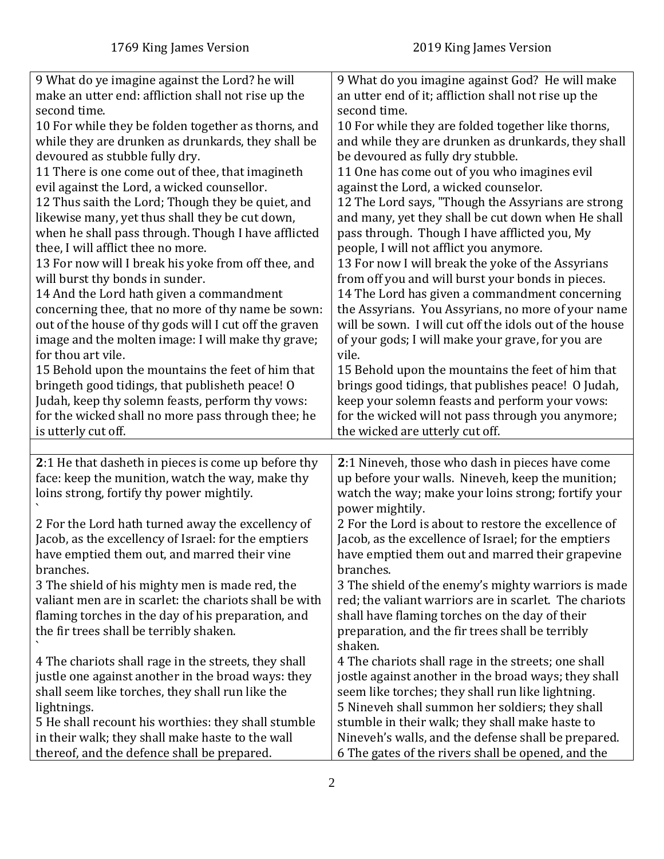<span id="page-1-0"></span>

| 9 What do ye imagine against the Lord? he will                                                  | 9 What do you imagine against God? He will make         |
|-------------------------------------------------------------------------------------------------|---------------------------------------------------------|
| make an utter end: affliction shall not rise up the                                             | an utter end of it; affliction shall not rise up the    |
| second time.                                                                                    | second time.                                            |
| 10 For while they be folden together as thorns, and                                             | 10 For while they are folded together like thorns,      |
| while they are drunken as drunkards, they shall be                                              | and while they are drunken as drunkards, they shall     |
|                                                                                                 |                                                         |
| devoured as stubble fully dry.                                                                  | be devoured as fully dry stubble.                       |
| 11 There is one come out of thee, that imagineth                                                | 11 One has come out of you who imagines evil            |
| evil against the Lord, a wicked counsellor.                                                     | against the Lord, a wicked counselor.                   |
| 12 Thus saith the Lord; Though they be quiet, and                                               | 12 The Lord says, "Though the Assyrians are strong      |
| likewise many, yet thus shall they be cut down,                                                 | and many, yet they shall be cut down when He shall      |
| when he shall pass through. Though I have afflicted                                             | pass through. Though I have afflicted you, My           |
| thee, I will afflict thee no more.                                                              | people, I will not afflict you anymore.                 |
| 13 For now will I break his yoke from off thee, and                                             | 13 For now I will break the yoke of the Assyrians       |
| will burst thy bonds in sunder.                                                                 | from off you and will burst your bonds in pieces.       |
| 14 And the Lord hath given a commandment                                                        | 14 The Lord has given a commandment concerning          |
| concerning thee, that no more of thy name be sown:                                              | the Assyrians. You Assyrians, no more of your name      |
| out of the house of thy gods will I cut off the graven                                          | will be sown. I will cut off the idols out of the house |
| image and the molten image: I will make thy grave;                                              | of your gods; I will make your grave, for you are       |
| for thou art vile.                                                                              | vile.                                                   |
| 15 Behold upon the mountains the feet of him that                                               | 15 Behold upon the mountains the feet of him that       |
| bringeth good tidings, that publisheth peace! O                                                 | brings good tidings, that publishes peace! O Judah,     |
|                                                                                                 |                                                         |
| Judah, keep thy solemn feasts, perform thy vows:                                                | keep your solemn feasts and perform your vows:          |
| for the wicked shall no more pass through thee; he                                              | for the wicked will not pass through you anymore;       |
| is utterly cut off.                                                                             | the wicked are utterly cut off.                         |
|                                                                                                 |                                                         |
| 2:1 He that dasheth in pieces is come up before thy                                             | 2:1 Nineveh, those who dash in pieces have come         |
| face: keep the munition, watch the way, make thy                                                | up before your walls. Nineveh, keep the munition;       |
| loins strong, fortify thy power mightily.                                                       | watch the way; make your loins strong; fortify your     |
|                                                                                                 | power mightily.                                         |
| 2 For the Lord hath turned away the excellency of                                               | 2 For the Lord is about to restore the excellence of    |
| Jacob, as the excellency of Israel: for the emptiers                                            | Jacob, as the excellence of Israel; for the emptiers    |
| have emptied them out, and marred their vine                                                    | have emptied them out and marred their grapevine        |
| branches.                                                                                       | branches.                                               |
| 3 The shield of his mighty men is made red, the                                                 | 3 The shield of the enemy's mighty warriors is made     |
| valiant men are in scarlet: the chariots shall be with                                          | red; the valiant warriors are in scarlet. The chariots  |
| flaming torches in the day of his preparation, and                                              | shall have flaming torches on the day of their          |
| the fir trees shall be terribly shaken.                                                         | preparation, and the fir trees shall be terribly        |
|                                                                                                 | shaken.                                                 |
| 4 The chariots shall rage in the streets, they shall                                            | 4 The chariots shall rage in the streets; one shall     |
|                                                                                                 |                                                         |
|                                                                                                 | jostle against another in the broad ways; they shall    |
| justle one against another in the broad ways: they                                              | seem like torches; they shall run like lightning.       |
| shall seem like torches, they shall run like the                                                |                                                         |
| lightnings.                                                                                     | 5 Nineveh shall summon her soldiers; they shall         |
| 5 He shall recount his worthies: they shall stumble                                             | stumble in their walk; they shall make haste to         |
| in their walk; they shall make haste to the wall<br>thereof, and the defence shall be prepared. | Nineveh's walls, and the defense shall be prepared.     |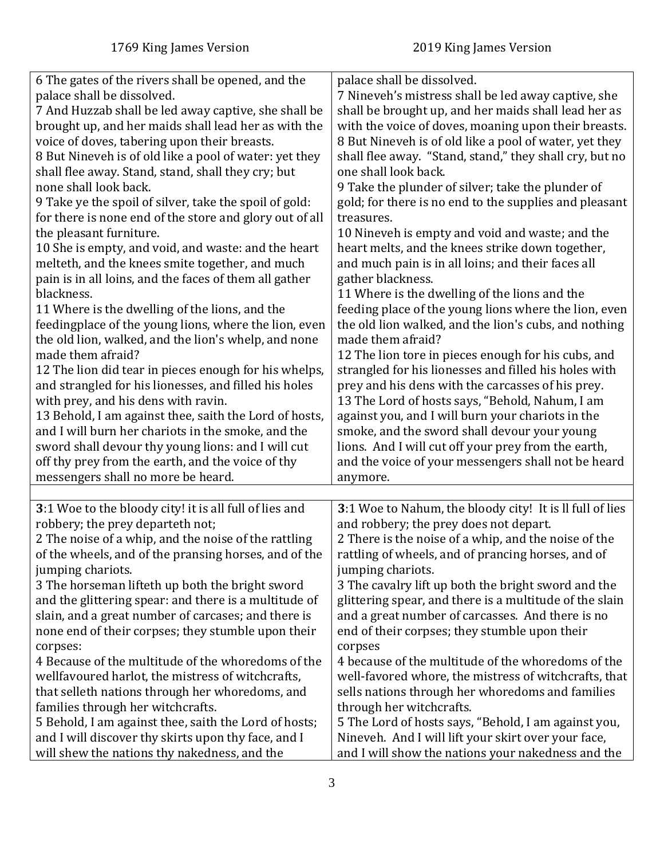<span id="page-2-0"></span>

| 6 The gates of the rivers shall be opened, and the<br>palace shall be dissolved. | palace shall be dissolved.<br>7 Nineveh's mistress shall be led away captive, she |
|----------------------------------------------------------------------------------|-----------------------------------------------------------------------------------|
|                                                                                  |                                                                                   |
| 7 And Huzzab shall be led away captive, she shall be                             | shall be brought up, and her maids shall lead her as                              |
| brought up, and her maids shall lead her as with the                             | with the voice of doves, moaning upon their breasts.                              |
| voice of doves, tabering upon their breasts.                                     | 8 But Nineveh is of old like a pool of water, yet they                            |
| 8 But Nineveh is of old like a pool of water: yet they                           | shall flee away. "Stand, stand," they shall cry, but no                           |
| shall flee away. Stand, stand, shall they cry; but                               | one shall look back.                                                              |
| none shall look back.                                                            | 9 Take the plunder of silver; take the plunder of                                 |
|                                                                                  |                                                                                   |
| 9 Take ye the spoil of silver, take the spoil of gold:                           | gold; for there is no end to the supplies and pleasant                            |
| for there is none end of the store and glory out of all                          | treasures.                                                                        |
| the pleasant furniture.                                                          | 10 Nineveh is empty and void and waste; and the                                   |
| 10 She is empty, and void, and waste: and the heart                              | heart melts, and the knees strike down together,                                  |
| melteth, and the knees smite together, and much                                  | and much pain is in all loins; and their faces all                                |
| pain is in all loins, and the faces of them all gather                           | gather blackness.                                                                 |
| blackness.                                                                       | 11 Where is the dwelling of the lions and the                                     |
| 11 Where is the dwelling of the lions, and the                                   | feeding place of the young lions where the lion, even                             |
| feedingplace of the young lions, where the lion, even                            | the old lion walked, and the lion's cubs, and nothing                             |
| the old lion, walked, and the lion's whelp, and none                             | made them afraid?                                                                 |
| made them afraid?                                                                | 12 The lion tore in pieces enough for his cubs, and                               |
| 12 The lion did tear in pieces enough for his whelps,                            | strangled for his lionesses and filled his holes with                             |
|                                                                                  |                                                                                   |
| and strangled for his lionesses, and filled his holes                            | prey and his dens with the carcasses of his prey.                                 |
| with prey, and his dens with ravin.                                              | 13 The Lord of hosts says, "Behold, Nahum, I am                                   |
| 13 Behold, I am against thee, saith the Lord of hosts,                           | against you, and I will burn your chariots in the                                 |
| and I will burn her chariots in the smoke, and the                               | smoke, and the sword shall devour your young                                      |
| sword shall devour thy young lions: and I will cut                               | lions. And I will cut off your prey from the earth,                               |
| off thy prey from the earth, and the voice of thy                                | and the voice of your messengers shall not be heard                               |
| messengers shall no more be heard.                                               | anymore.                                                                          |
|                                                                                  |                                                                                   |
| 3:1 Woe to the bloody city! it is all full of lies and                           | 3:1 Woe to Nahum, the bloody city! It is Il full of lies                          |
| robbery; the prey departeth not;                                                 | and robbery; the prey does not depart.                                            |
| 2 The noise of a whip, and the noise of the rattling                             | 2 There is the noise of a whip, and the noise of the                              |
| of the wheels, and of the pransing horses, and of the                            | rattling of wheels, and of prancing horses, and of                                |
| jumping chariots.                                                                | jumping chariots.                                                                 |
| 3 The horseman lifteth up both the bright sword                                  | 3 The cavalry lift up both the bright sword and the                               |
| and the glittering spear: and there is a multitude of                            | glittering spear, and there is a multitude of the slain                           |
| slain, and a great number of carcases; and there is                              | and a great number of carcasses. And there is no                                  |
|                                                                                  |                                                                                   |
| none end of their corpses; they stumble upon their                               | end of their corpses; they stumble upon their                                     |
| corpses:                                                                         | corpses                                                                           |
| 4 Because of the multitude of the whoredoms of the                               | 4 because of the multitude of the whoredoms of the                                |
| wellfavoured harlot, the mistress of witchcrafts,                                | well-favored whore, the mistress of witchcrafts, that                             |
| that selleth nations through her whoredoms, and                                  | sells nations through her whoredoms and families                                  |
| families through her witchcrafts.                                                | through her witchcrafts.                                                          |
| 5 Behold, I am against thee, saith the Lord of hosts;                            | 5 The Lord of hosts says, "Behold, I am against you,                              |
| and I will discover thy skirts upon thy face, and I                              | Nineveh. And I will lift your skirt over your face,                               |
| will shew the nations thy nakedness, and the                                     | and I will show the nations your nakedness and the                                |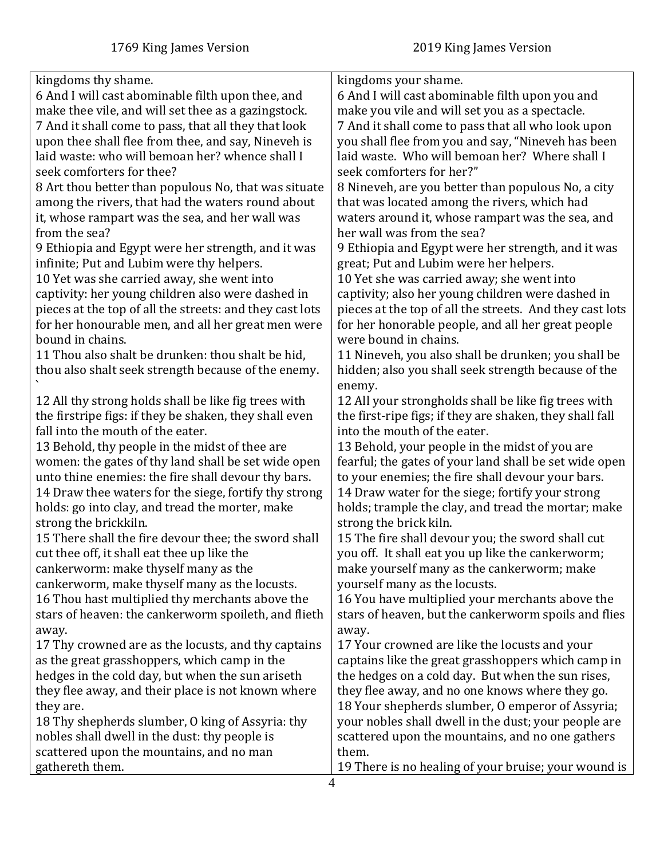| kingdoms thy shame.                                      | kingdoms your shame.                                     |
|----------------------------------------------------------|----------------------------------------------------------|
| 6 And I will cast abominable filth upon thee, and        | 6 And I will cast abominable filth upon you and          |
| make thee vile, and will set thee as a gazingstock.      | make you vile and will set you as a spectacle.           |
| 7 And it shall come to pass, that all they that look     | 7 And it shall come to pass that all who look upon       |
| upon thee shall flee from thee, and say, Nineveh is      | you shall flee from you and say, "Nineveh has been       |
| laid waste: who will bemoan her? whence shall I          | laid waste. Who will bemoan her? Where shall I           |
| seek comforters for thee?                                | seek comforters for her?"                                |
| 8 Art thou better than populous No, that was situate     | 8 Nineveh, are you better than populous No, a city       |
| among the rivers, that had the waters round about        | that was located among the rivers, which had             |
| it, whose rampart was the sea, and her wall was          | waters around it, whose rampart was the sea, and         |
| from the sea?                                            | her wall was from the sea?                               |
| 9 Ethiopia and Egypt were her strength, and it was       | 9 Ethiopia and Egypt were her strength, and it was       |
| infinite; Put and Lubim were thy helpers.                | great; Put and Lubim were her helpers.                   |
| 10 Yet was she carried away, she went into               | 10 Yet she was carried away; she went into               |
| captivity: her young children also were dashed in        | captivity; also her young children were dashed in        |
| pieces at the top of all the streets: and they cast lots | pieces at the top of all the streets. And they cast lots |
| for her honourable men, and all her great men were       | for her honorable people, and all her great people       |
| bound in chains.                                         | were bound in chains.                                    |
| 11 Thou also shalt be drunken: thou shalt be hid,        | 11 Nineveh, you also shall be drunken; you shall be      |
| thou also shalt seek strength because of the enemy.      | hidden; also you shall seek strength because of the      |
|                                                          | enemy.                                                   |
| 12 All thy strong holds shall be like fig trees with     | 12 All your strongholds shall be like fig trees with     |
| the firstripe figs: if they be shaken, they shall even   | the first-ripe figs; if they are shaken, they shall fall |
| fall into the mouth of the eater.                        | into the mouth of the eater.                             |
| 13 Behold, thy people in the midst of thee are           | 13 Behold, your people in the midst of you are           |
| women: the gates of thy land shall be set wide open      | fearful; the gates of your land shall be set wide open   |
| unto thine enemies: the fire shall devour thy bars.      | to your enemies; the fire shall devour your bars.        |
| 14 Draw thee waters for the siege, fortify thy strong    | 14 Draw water for the siege; fortify your strong         |
| holds: go into clay, and tread the morter, make          | holds; trample the clay, and tread the mortar; make      |
| strong the brickkiln.                                    | strong the brick kiln.                                   |
| 15 There shall the fire devour thee; the sword shall     | 15 The fire shall devour you; the sword shall cut        |
| cut thee off, it shall eat thee up like the              | you off. It shall eat you up like the cankerworm;        |
| cankerworm: make thyself many as the                     | make yourself many as the cankerworm; make               |
| cankerworm, make thyself many as the locusts.            | yourself many as the locusts.                            |
| 16 Thou hast multiplied thy merchants above the          | 16 You have multiplied your merchants above the          |
| stars of heaven: the cankerworm spoileth, and flieth     | stars of heaven, but the cankerworm spoils and flies     |
| away.                                                    | away.                                                    |
| 17 Thy crowned are as the locusts, and thy captains      | 17 Your crowned are like the locusts and your            |
| as the great grasshoppers, which camp in the             | captains like the great grasshoppers which camp in       |
| hedges in the cold day, but when the sun ariseth         | the hedges on a cold day. But when the sun rises,        |
| they flee away, and their place is not known where       | they flee away, and no one knows where they go.          |
| they are.                                                | 18 Your shepherds slumber, O emperor of Assyria;         |
| 18 Thy shepherds slumber, O king of Assyria: thy         | your nobles shall dwell in the dust; your people are     |
| nobles shall dwell in the dust: thy people is            | scattered upon the mountains, and no one gathers         |
| scattered upon the mountains, and no man                 | them.                                                    |
| gathereth them.                                          | 19 There is no healing of your bruise; your wound is     |